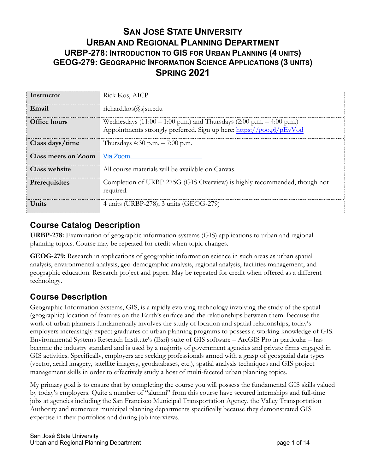## **SAN JOSÉ STATE UNIVERSITY URBAN AND REGIONAL PLANNING DEPARTMENT URBP-278: INTRODUCTION TO GIS FOR URBAN PLANNING (4 UNITS) GEOG-279: GEOGRAPHIC INFORMATION SCIENCE APPLICATIONS (3 UNITS) SPRING 2021**

| Instructor           | Rick Kos, AICP                                                                                                                                                           |
|----------------------|--------------------------------------------------------------------------------------------------------------------------------------------------------------------------|
| Email                | richard.kos@sjsu.edu                                                                                                                                                     |
| <b>Office hours</b>  | Wednesdays $(11:00 - 1:00 \text{ p.m.})$ and Thursdays $(2:00 \text{ p.m.} - 4:00 \text{ p.m.})$<br>Appointments strongly preferred. Sign up here: https://goo.gl/pEvVod |
| Class days/time      | Thursdays 4:30 p.m. $- 7:00$ p.m.                                                                                                                                        |
| Class meets on Zoom  | Via Zoom.                                                                                                                                                                |
| <b>Class website</b> | All course materials will be available on Canyas.                                                                                                                        |
| Prerequisites        | Completion of URBP-275G (GIS Overview) is highly recommended, though not<br>required.                                                                                    |
| <b>Units</b>         | 4 units (URBP-278); 3 units (GEOG-279)                                                                                                                                   |

#### **Course Catalog Description**

**URBP-278:** Examination of geographic information systems (GIS) applications to urban and regional planning topics. Course may be repeated for credit when topic changes.

**GEOG-279:** Research in applications of geographic information science in such areas as urban spatial analysis, environmental analysis, geo-demographic analysis, regional analysis, facilities management, and geographic education. Research project and paper. May be repeated for credit when offered as a different technology.

## **Course Description**

Geographic Information Systems, GIS, is a rapidly evolving technology involving the study of the spatial (geographic) location of features on the Earth's surface and the relationships between them. Because the work of urban planners fundamentally involves the study of location and spatial relationships, today's employers increasingly expect graduates of urban planning programs to possess a working knowledge of GIS. Environmental Systems Research Institute's (Esri) suite of GIS software – ArcGIS Pro in particular – has become the industry standard and is used by a majority of government agencies and private firms engaged in GIS activities. Specifically, employers are seeking professionals armed with a grasp of geospatial data types (vector, aerial imagery, satellite imagery, geodatabases, etc.), spatial analysis techniques and GIS project management skills in order to effectively study a host of multi-faceted urban planning topics.

My primary goal is to ensure that by completing the course you will possess the fundamental GIS skills valued by today's employers. Quite a number of "alumni" from this course have secured internships and full-time jobs at agencies including the San Francisco Municipal Transportation Agency, the Valley Transportation Authority and numerous municipal planning departments specifically because they demonstrated GIS expertise in their portfolios and during job interviews.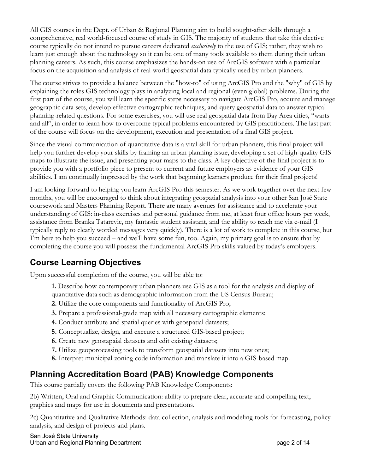All GIS courses in the Dept. of Urban & Regional Planning aim to build sought-after skills through a comprehensive, real world-focused course of study in GIS. The majority of students that take this elective course typically do not intend to pursue careers dedicated *exclusively* to the use of GIS; rather, they wish to learn just enough about the technology so it can be one of many tools available to them during their urban planning careers. As such, this course emphasizes the hands-on use of ArcGIS software with a particular focus on the acquisition and analysis of real-world geospatial data typically used by urban planners.

The course strives to provide a balance between the "how-to" of using ArcGIS Pro and the "why" of GIS by explaining the roles GIS technology plays in analyzing local and regional (even global) problems. During the first part of the course, you will learn the specific steps necessary to navigate ArcGIS Pro, acquire and manage geographic data sets, develop effective cartographic techniques, and query geospatial data to answer typical planning-related questions. For some exercises, you will use real geospatial data from Bay Area cities, "warts and all", in order to learn how to overcome typical problems encountered by GIS practitioners. The last part of the course will focus on the development, execution and presentation of a final GIS project.

Since the visual communication of quantitative data is a vital skill for urban planners, this final project will help you further develop your skills by framing an urban planning issue, developing a set of high-quality GIS maps to illustrate the issue, and presenting your maps to the class. A key objective of the final project is to provide you with a portfolio piece to present to current and future employers as evidence of your GIS abilities. I am continually impressed by the work that beginning learners produce for their final projects!

I am looking forward to helping you learn ArcGIS Pro this semester. As we work together over the next few months, you will be encouraged to think about integrating geospatial analysis into your other San José State coursework and Masters Planning Report. There are many avenues for assistance and to accelerate your understanding of GIS: in-class exercises and personal guidance from me, at least four office hours per week, assistance from Branka Tatarevic, my fantastic student assistant, and the ability to reach me via e-mail (I typically reply to clearly worded messages very quickly). There is a lot of work to complete in this course, but I'm here to help you succeed – and we'll have some fun, too. Again, my primary goal is to ensure that by completing the course you will possess the fundamental ArcGIS Pro skills valued by today's employers.

## **Course Learning Objectives**

Upon successful completion of the course, you will be able to:

- **1.** Describe how contemporary urban planners use GIS as a tool for the analysis and display of quantitative data such as demographic information from the US Census Bureau;
- **2.** Utilize the core components and functionality of ArcGIS Pro;
- **3.** Prepare a professional-grade map with all necessary cartographic elements;
- **4.** Conduct attribute and spatial queries with geospatial datasets;
- **5.** Conceptualize, design, and execute a structured GIS-based project;
- **6.** Create new geostapaial datasets and edit existing datasets;
- **7.** Utilize geoporocessing tools to transform geospatial datasets into new ones;
- **8.** Interpret municipal zoning code information and translate it into a GIS-based map.

### **Planning Accreditation Board (PAB) Knowledge Components**

This course partially covers the following PAB Knowledge Components:

2b) Written, Oral and Graphic Communication: ability to prepare clear, accurate and compelling text, graphics and maps for use in documents and presentations.

2c) Quantitative and Qualitative Methods: data collection, analysis and modeling tools for forecasting, policy analysis, and design of projects and plans.

San José State University Urban and Regional Planning Department **page 2** of 14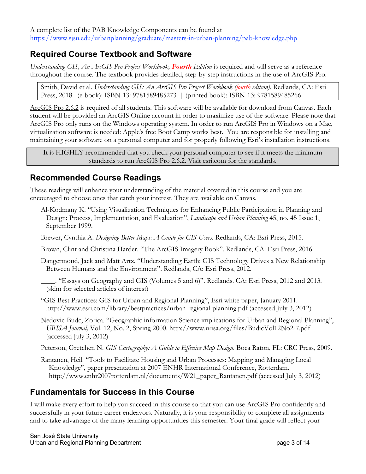A complete list of the PAB Knowledge Components can be found at https://www.sjsu.edu/urbanplanning/graduate/masters-in-urban-planning/pab-knowledge.php

#### **Required Course Textbook and Software**

*Understanding GIS, An ArcGIS Pro Project Workbook, Fourth Edition* is required and will serve as a reference throughout the course. The textbook provides detailed, step-by-step instructions in the use of ArcGIS Pro.

Smith, David et al. *Understanding GIS: An ArcGIS Pro Project Workbook (fourth edition).* Redlands, CA: Esri Press, 2018. (e-book): ISBN-13: 9781589485273 | (printed book): ISBN-13: 9781589485266

ArcGIS Pro 2.6.2 is required of all students. This software will be available for download from Canvas. Each student will be provided an ArcGIS Online account in order to maximize use of the software. Please note that ArcGIS Pro only runs on the Windows operating system. In order to run ArcGIS Pro in Windows on a Mac, virtualization software is needed: Apple's free Boot Camp works best. You are responsible for installing and maintaining your software on a personal computer and for properly following Esri's installation instructions.

It is HIGHLY recommended that you check your personal computer to see if it meets the minimum standards to run ArcGIS Pro 2.6.2. Visit esri.com for the standards.

#### **Recommended Course Readings**

These readings will enhance your understanding of the material covered in this course and you are encouraged to choose ones that catch your interest. They are available on Canvas.

- Al-Kodmany K. "Using Visualization Techniques for Enhancing Public Participation in Planning and Design: Process, Implementation, and Evaluation", *Landscape and Urban Planning* 45, no. 45 Issue 1, September 1999.
- Brewer, Cynthia A. *Designing Better Maps: A Guide for GIS Users.* Redlands, CA: Esri Press, 2015.
- Brown, Clint and Christina Harder. "The ArcGIS Imagery Book". Redlands, CA: Esri Press, 2016.

Dangermond, Jack and Matt Artz. "Understanding Earth: GIS Technology Drives a New Relationship Between Humans and the Environment". Redlands, CA: Esri Press, 2012.

- \_\_\_\_. "Essays on Geography and GIS (Volumes 5 and 6)". Redlands. CA: Esri Press, 2012 and 2013. (skim for selected articles of interest)
- "GIS Best Practices: GIS for Urban and Regional Planning", Esri white paper, January 2011. http://www.esri.com/library/bestpractices/urban-regional-planning.pdf (accessed July 3, 2012)
- Nedovic-Budc, Zorica. "Geographic information Science implications for Urban and Regional Planning", *URISA Journal,* Vol. 12, No. 2, Spring 2000. http://www.urisa.org/files/BudicVol12No2-7.pdf (accessed July 3, 2012)
- Peterson, Gretchen N. *GIS Cartography: A Guide to Effective Map Design*. Boca Raton, FL: CRC Press, 2009.
- Rantanen, Heil. "Tools to Facilitate Housing and Urban Processes: Mapping and Managing Local Knowledge", paper presentation at 2007 ENHR International Conference, Rotterdam. http://www.enhr2007rotterdam.nl/documents/W21\_paper\_Rantanen.pdf (accessed July 3, 2012)

### **Fundamentals for Success in this Course**

I will make every effort to help you succeed in this course so that you can use ArcGIS Pro confidently and successfully in your future career endeavors. Naturally, it is your responsibility to complete all assignments and to take advantage of the many learning opportunities this semester. Your final grade will reflect your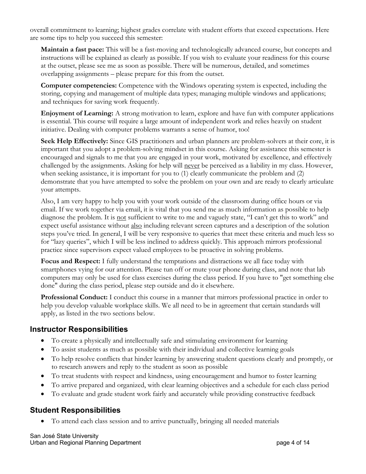overall commitment to learning; highest grades correlate with student efforts that exceed expectations. Here are some tips to help you succeed this semester:

**Maintain a fast pace:** This will be a fast-moving and technologically advanced course, but concepts and instructions will be explained as clearly as possible. If you wish to evaluate your readiness for this course at the outset, please see me as soon as possible. There will be numerous, detailed, and sometimes overlapping assignments – please prepare for this from the outset.

**Computer competencies:** Competence with the Windows operating system is expected, including the storing, copying and management of multiple data types; managing multiple windows and applications; and techniques for saving work frequently.

**Enjoyment of Learning:** A strong motivation to learn, explore and have fun with computer applications is essential. This course will require a large amount of independent work and relies heavily on student initiative. Dealing with computer problems warrants a sense of humor, too!

**Seek Help Effectively:** Since GIS practitioners and urban planners are problem-solvers at their core, it is important that you adopt a problem-solving mindset in this course. Asking for assistance this semester is encouraged and signals to me that you are engaged in your work, motivated by excellence, and effectively challenged by the assignments. Asking for help will never be perceived as a liability in my class. However, when seeking assistance, it is important for you to (1) clearly communicate the problem and (2) demonstrate that you have attempted to solve the problem on your own and are ready to clearly articulate your attempts.

Also, I am very happy to help you with your work outside of the classroom during office hours or via email. If we work together via email, it is vital that you send me as much information as possible to help diagnose the problem. It is <u>not</u> sufficient to write to me and vaguely state, "I can't get this to work" and expect useful assistance without also including relevant screen captures and a description of the solution steps you've tried. In general, I will be very responsive to queries that meet these criteria and much less so for "lazy queries", which I will be less inclined to address quickly. This approach mirrors professional practice since supervisors expect valued employees to be proactive in solving problems.

**Focus and Respect:** I fully understand the temptations and distractions we all face today with smartphones vying for our attention. Please tun off or mute your phone during class, and note that lab computers may only be used for class exercises during the class period. If you have to "get something else done" during the class period, please step outside and do it elsewhere.

**Professional Conduct:** I conduct this course in a manner that mirrors professional practice in order to help you develop valuable workplace skills. We all need to be in agreement that certain standards will apply, as listed in the two sections below.

#### **Instructor Responsibilities**

- To create a physically and intellectually safe and stimulating environment for learning
- To assist students as much as possible with their individual and collective learning goals
- To help resolve conflicts that hinder learning by answering student questions clearly and promptly, or to research answers and reply to the student as soon as possible
- To treat students with respect and kindness, using encouragement and humor to foster learning
- To arrive prepared and organized, with clear learning objectives and a schedule for each class period
- To evaluate and grade student work fairly and accurately while providing constructive feedback

#### **Student Responsibilities**

• To attend each class session and to arrive punctually, bringing all needed materials

San José State University Urban and Regional Planning Department **page 4 of 14** page 4 of 14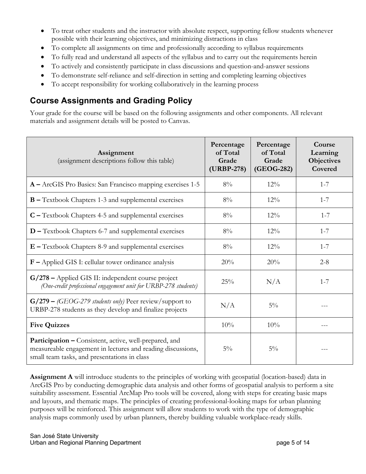- To treat other students and the instructor with absolute respect, supporting fellow students whenever possible with their learning objectives, and minimizing distractions in class
- To complete all assignments on time and professionally according to syllabus requirements
- To fully read and understand all aspects of the syllabus and to carry out the requirements herein
- To actively and consistently participate in class discussions and question-and-answer sessions
- To demonstrate self-reliance and self-direction in setting and completing learning objectives
- To accept responsibility for working collaboratively in the learning process

### **Course Assignments and Grading Policy**

Your grade for the course will be based on the following assignments and other components. All relevant materials and assignment details will be posted to Canvas.

| Assignment<br>(assignment descriptions follow this table)                                                                                                             | Percentage<br>of Total<br>Grade<br>(URBP-278) | Percentage<br>of Total<br>Grade<br>(GEOG-282) | Course<br>Learning<br>Objectives<br>Covered |
|-----------------------------------------------------------------------------------------------------------------------------------------------------------------------|-----------------------------------------------|-----------------------------------------------|---------------------------------------------|
| A - ArcGIS Pro Basics: San Francisco mapping exercises 1-5                                                                                                            | $8\%$                                         | 12%                                           | $1 - 7$                                     |
| <b>B</b> – Textbook Chapters 1-3 and supplemental exercises                                                                                                           | $8\%$                                         | $12\%$                                        | $1 - 7$                                     |
| $C$ – Textbook Chapters 4-5 and supplemental exercises                                                                                                                | 8%                                            | 12%                                           | $1 - 7$                                     |
| <b>D</b> – Textbook Chapters 6-7 and supplemental exercises                                                                                                           | 8%                                            | 12%                                           | $1 - 7$                                     |
| $E$ – Textbook Chapters 8-9 and supplemental exercises                                                                                                                | 8%                                            | 12%                                           | $1 - 7$                                     |
| $F$ – Applied GIS I: cellular tower ordinance analysis                                                                                                                | 20%                                           | 20%                                           | $2 - 8$                                     |
| G/278 – Applied GIS II: independent course project<br>(One-credit professional engagement unit for URBP-278 students)                                                 | 25%                                           | N/A                                           | $1 - 7$                                     |
| $G/279 - (GEOG-279$ students only) Peer review/support to<br>URBP-278 students as they develop and finalize projects                                                  | N/A                                           | $5\%$                                         |                                             |
| <b>Five Quizzes</b>                                                                                                                                                   | 10%                                           | 10%                                           |                                             |
| Participation - Consistent, active, well-prepared, and<br>measureable engagement in lectures and reading discussions,<br>small team tasks, and presentations in class | $5\%$                                         | $5\%$                                         |                                             |

**Assignment A** will introduce students to the principles of working with geospatial (location-based) data in ArcGIS Pro by conducting demographic data analysis and other forms of geospatial analysis to perform a site suitability assessment. Essential ArcMap Pro tools will be covered, along with steps for creating basic maps and layouts, and thematic maps. The principles of creating professional-looking maps for urban planning purposes will be reinforced. This assignment will allow students to work with the type of demographic analysis maps commonly used by urban planners, thereby building valuable workplace-ready skills.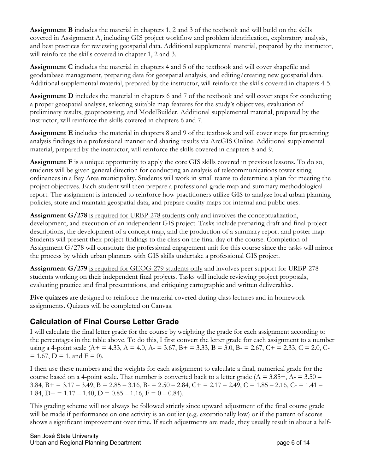**Assignment B** includes the material in chapters 1, 2 and 3 of the textbook and will build on the skills covered in Assignment A, including GIS project workflow and problem identification, exploratory analysis, and best practices for reviewing geospatial data. Additional supplemental material, prepared by the instructor, will reinforce the skills covered in chapter 1, 2 and 3.

**Assignment C** includes the material in chapters 4 and 5 of the textbook and will cover shapefile and geodatabase management, preparing data for geospatial analysis, and editing/creating new geospatial data. Additional supplemental material, prepared by the instructor, will reinforce the skills covered in chapters 4-5.

**Assignment D** includes the material in chapters 6 and 7 of the textbook and will cover steps for conducting a proper geospatial analysis, selecting suitable map features for the study's objectives, evaluation of preliminary results, geoprocessing, and ModelBuilder. Additional supplemental material, prepared by the instructor, will reinforce the skills covered in chapters 6 and 7.

**Assignment E** includes the material in chapters 8 and 9 of the textbook and will cover steps for presenting analysis findings in a professional manner and sharing results via ArcGIS Online. Additional supplemental material, prepared by the instructor, will reinforce the skills covered in chapters 8 and 9.

**Assignment F** is a unique opportunity to apply the core GIS skills covered in previous lessons. To do so, students will be given general direction for conducting an analysis of telecommunications tower siting ordinances in a Bay Area municipality. Students will work in small teams to determine a plan for meeting the project objectives. Each student will then prepare a professional-grade map and summary methodological report. The assignment is intended to reinforce how practitioners utilize GIS to analyze local urban planning policies, store and maintain geospatial data, and prepare quality maps for internal and public uses.

**Assignment G/278** is required for URBP-278 students only and involves the conceptualization, development, and execution of an independent GIS project. Tasks include preparing draft and final project descriptions, the development of a concept map, and the production of a summary report and poster map. Students will present their project findings to the class on the final day of the course. Completion of Assignment G/278 will constitute the professional engagement unit for this course since the tasks will mirror the process by which urban planners with GIS skills undertake a professional GIS project.

**Assignment G/279** is required for GEOG-279 students only and involves peer support for URBP-278 students working on their independent final projects. Tasks will include reviewing project proposals, evaluating practice and final presentations, and critiquing cartographic and written deliverables.

**Five quizzes** are designed to reinforce the material covered during class lectures and in homework assignments. Quizzes will be completed on Canvas.

#### **Calculation of Final Course Letter Grade**

I will calculate the final letter grade for the course by weighting the grade for each assignment according to the percentages in the table above. To do this, I first convert the letter grade for each assignment to a number using a 4-point scale (A+ = 4.33, A = 4.0, A- = 3.67, B+ = 3.33, B = 3.0, B- = 2.67, C+ = 2.33, C = 2.0, C- $= 1.67$ , D = 1, and F = 0).

I then use these numbers and the weights for each assignment to calculate a final, numerical grade for the course based on a 4-point scale. That number is converted back to a letter grade ( $A = 3.85 +$ ,  $A = 3.50 -$ 3.84, B + = 3.17 – 3.49, B = 2.85 – 3.16, B - = 2.50 – 2.84, C + = 2.17 – 2.49, C = 1.85 – 2.16, C - = 1.41 – 1.84,  $D+ = 1.17 - 1.40$ ,  $D = 0.85 - 1.16$ ,  $F = 0 - 0.84$ ).

This grading scheme will not always be followed strictly since upward adjustment of the final course grade will be made if performance on one activity is an outlier (e.g. exceptionally low) or if the pattern of scores shows a significant improvement over time. If such adjustments are made, they usually result in about a half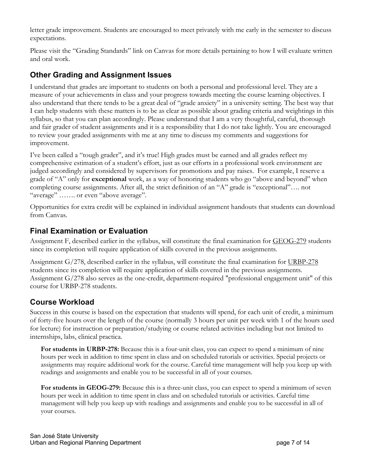letter grade improvement. Students are encouraged to meet privately with me early in the semester to discuss expectations.

Please visit the "Grading Standards" link on Canvas for more details pertaining to how I will evaluate written and oral work.

#### **Other Grading and Assignment Issues**

I understand that grades are important to students on both a personal and professional level. They are a measure of your achievements in class and your progress towards meeting the course learning objectives. I also understand that there tends to be a great deal of "grade anxiety" in a university setting. The best way that I can help students with these matters is to be as clear as possible about grading criteria and weightings in this syllabus, so that you can plan accordingly. Please understand that I am a very thoughtful, careful, thorough and fair grader of student assignments and it is a responsibility that I do not take lightly. You are encouraged to review your graded assignments with me at any time to discuss my comments and suggestions for improvement.

I've been called a "tough grader", and it's true! High grades must be earned and all grades reflect my comprehensive estimation of a student's effort, just as our efforts in a professional work environment are judged accordingly and considered by supervisors for promotions and pay raises. For example, I reserve a grade of "A" only for **exceptional** work, as a way of honoring students who go "above and beyond" when completing course assignments. After all, the strict definition of an "A" grade is "exceptional"…. not "average" ....... or even "above average".

Opportunities for extra credit will be explained in individual assignment handouts that students can download from Canvas.

#### **Final Examination or Evaluation**

Assignment F, described earlier in the syllabus, will constitute the final examination for GEOG-279 students since its completion will require application of skills covered in the previous assignments.

Assignment G/278, described earlier in the syllabus, will constitute the final examination for URBP-278 students since its completion will require application of skills covered in the previous assignments. Assignment G/278 also serves as the one-credit, department-required "professional engagement unit" of this course for URBP-278 students.

#### **Course Workload**

Success in this course is based on the expectation that students will spend, for each unit of credit, a minimum of forty-five hours over the length of the course (normally 3 hours per unit per week with 1 of the hours used for lecture) for instruction or preparation/studying or course related activities including but not limited to internships, labs, clinical practica.

**For students in URBP-278:** Because this is a four-unit class, you can expect to spend a minimum of nine hours per week in addition to time spent in class and on scheduled tutorials or activities. Special projects or assignments may require additional work for the course. Careful time management will help you keep up with readings and assignments and enable you to be successful in all of your courses.

**For students in GEOG-279:** Because this is a three-unit class, you can expect to spend a minimum of seven hours per week in addition to time spent in class and on scheduled tutorials or activities. Careful time management will help you keep up with readings and assignments and enable you to be successful in all of your courses.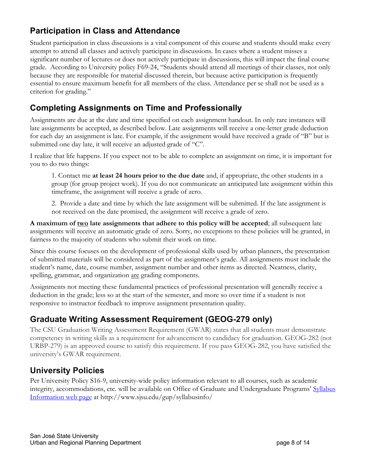# **Participation in Class and Attendance**

Student participation in class discussions is a vital component of this course and students should make every attempt to attend all classes and actively participate in discussions. In cases where a student misses a significant number of lectures or does not actively participate in discussions, this will impact the final course grade. According to University policy F69-24, "Students should attend all meetings of their classes, not only because they are responsible for material discussed therein, but because active participation is frequently essential to ensure maximum benefit for all members of the class. Attendance per se shall not be used as a criterion for grading."

### **Completing Assignments on Time and Professionally**

Assignments are due at the date and time specified on each assignment handout. In only rare instances will late assignments be accepted, as described below. Late assignments will receive a one-letter grade deduction for each day an assignment is late. For example, if the assignment would have received a grade of "B" but is submitted one day late, it will receive an adjusted grade of "C".

I realize that life happens. If you expect not to be able to complete an assignment on time, it is important for you to do two things:

1. Contact me **at least 24 hours prior to the due date** and, if appropriate, the other students in a group (for group project work). If you do not communicate an anticipated late assignment within this timeframe, the assignment will receive a grade of zero.

2. Provide a date and time by which the late assignment will be submitted. If the late assignment is not received on the date promised, the assignment will receive a grade of zero.

**A maximum of two late assignments that adhere to this policy will be accepted**; all subsequent late assignments will receive an automatic grade of zero. Sorry, no exceptions to these policies will be granted, in fairness to the majority of students who submit their work on time.

Since this course focuses on the development of professional skills used by urban planners, the presentation of submitted materials will be considered as part of the assignment's grade. All assignments must include the student's name, date, course number, assignment number and other items as directed. Neatness, clarity, spelling, grammar, and organization are grading components.

Assignments not meeting these fundamental practices of professional presentation will generally receive a deduction in the grade; less so at the start of the semester, and more so over time if a student is not responsive to instructor feedback to improve assignment presentation quality.

### **Graduate Writing Assessment Requirement (GEOG-279 only)**

The CSU Graduation Writing Assessment Requirement (GWAR) states that all students must demonstrate competency in writing skills as a requirement for advancement to candidacy for graduation. GEOG-282 (not URBP-279) is an approved course to satisfy this requirement. If you pass GEOG-282, you have satisfied the university's GWAR requirement.

#### **University Policies**

Per University Policy S16-9, university-wide policy information relevant to all courses, such as academic integrity, accommodations, etc. will be available on Office of Graduate and Undergraduate Programs' Syllabus Information web page at http://www.sjsu.edu/gup/syllabusinfo/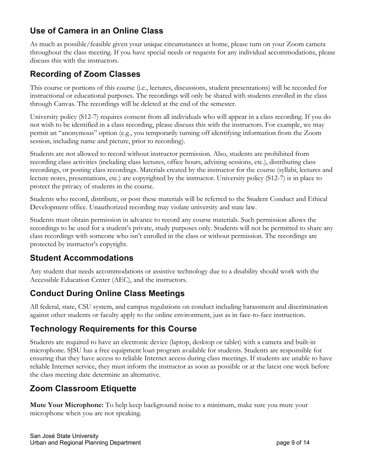## **Use of Camera in an Online Class**

As much as possible/feasible given your unique circumstances at home, please turn on your Zoom camera throughout the class meeting. If you have special needs or requests for any individual accommodations, please discuss this with the instructors.

## **Recording of Zoom Classes**

This course or portions of this course (i.e., lectures, discussions, student presentations) will be recorded for instructional or educational purposes. The recordings will only be shared with students enrolled in the class through Canvas. The recordings will be deleted at the end of the semester.

University policy (S12-7) requires consent from all individuals who will appear in a class recording. If you do not wish to be identified in a class recording, please discuss this with the instructors. For example, we may permit an "anonymous" option (e.g., you temporarily turning off identifying information from the Zoom session, including name and picture, prior to recording).

Students are not allowed to record without instructor permission. Also, students are prohibited from recording class activities (including class lectures, office hours, advising sessions, etc.), distributing class recordings, or posting class recordings. Materials created by the instructor for the course (syllabi, lectures and lecture notes, presentations, etc.) are copyrighted by the instructor. University policy (S12-7) is in place to protect the privacy of students in the course.

Students who record, distribute, or post these materials will be referred to the Student Conduct and Ethical Development office. Unauthorized recording may violate university and state law.

Students must obtain permission in advance to record any course materials. Such permission allows the recordings to be used for a student's private, study purposes only. Students will not be permitted to share any class recordings with someone who isn't enrolled in the class or without permission. The recordings are protected by instructor's copyright.

### **Student Accommodations**

Any student that needs accommodations or assistive technology due to a disability should work with the Accessible Education Center (AEC), and the instructors.

## **Conduct During Online Class Meetings**

All federal, state, CSU system, and campus regulations on conduct including harassment and discrimination against other students or faculty apply to the online environment, just as in face-to-face instruction.

## **Technology Requirements for this Course**

Students are required to have an electronic device (laptop, desktop or tablet) with a camera and built-in microphone. SJSU has a free equipment loan program available for students. Students are responsible for ensuring that they have access to reliable Internet access during class meetings. If students are unable to have reliable Internet service, they must inform the instructor as soon as possible or at the latest one week before the class meeting date determine an alternative.

## **Zoom Classroom Etiquette**

**Mute Your Microphone:** To help keep background noise to a minimum, make sure you mute your microphone when you are not speaking.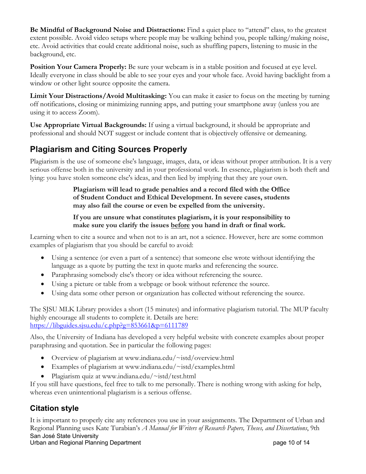**Be Mindful of Background Noise and Distractions:** Find a quiet place to "attend" class, to the greatest extent possible. Avoid video setups where people may be walking behind you, people talking/making noise, etc. Avoid activities that could create additional noise, such as shuffling papers, listening to music in the background, etc.

**Position Your Camera Properly:** Be sure your webcam is in a stable position and focused at eye level. Ideally everyone in class should be able to see your eyes and your whole face. Avoid having backlight from a window or other light source opposite the camera.

**Limit Your Distractions/Avoid Multitasking:** You can make it easier to focus on the meeting by turning off notifications, closing or minimizing running apps, and putting your smartphone away (unless you are using it to access Zoom).

**Use Appropriate Virtual Backgrounds:** If using a virtual background, it should be appropriate and professional and should NOT suggest or include content that is objectively offensive or demeaning.

# **Plagiarism and Citing Sources Properly**

Plagiarism is the use of someone else's language, images, data, or ideas without proper attribution. It is a very serious offense both in the university and in your professional work. In essence, plagiarism is both theft and lying: you have stolen someone else's ideas, and then lied by implying that they are your own.

#### **Plagiarism will lead to grade penalties and a record filed with the Office of Student Conduct and Ethical Development. In severe cases, students may also fail the course or even be expelled from the university.**

**If you are unsure what constitutes plagiarism, it is your responsibility to make sure you clarify the issues before you hand in draft or final work.**

Learning when to cite a source and when not to is an art, not a science. However, here are some common examples of plagiarism that you should be careful to avoid:

- Using a sentence (or even a part of a sentence) that someone else wrote without identifying the language as a quote by putting the text in quote marks and referencing the source.
- Paraphrasing somebody else's theory or idea without referencing the source.
- Using a picture or table from a webpage or book without reference the source.
- Using data some other person or organization has collected without referencing the source.

The SJSU MLK Library provides a short (15 minutes) and informative plagiarism tutorial. The MUP faculty highly encourage all students to complete it. Details are here: https://libguides.sjsu.edu/c.php?g=853661&p=6111789

Also, the University of Indiana has developed a very helpful website with concrete examples about proper paraphrasing and quotation. See in particular the following pages:

- Overview of plagiarism at www.indiana.edu/~istd/overview.html
- Examples of plagiarism at www.indiana.edu/~istd/examples.html
- Plagiarism quiz at www.indiana.edu/~istd/test.html

If you still have questions, feel free to talk to me personally. There is nothing wrong with asking for help, whereas even unintentional plagiarism is a serious offense.

### **Citation style**

San José State University Urban and Regional Planning Department **page 10 of 14** and 14 and 14 and 15 and 16 and 16 and 16 and 16 and 16 and 16 and 16 and 16 and 16 and 16 and 16 and 16 and 16 and 16 and 16 and 16 and 16 and 16 and 16 and 16 and 16 It is important to properly cite any references you use in your assignments. The Department of Urban and Regional Planning uses Kate Turabian's *A Manual for Writers of Research Papers, Theses, and Dissertations*, 9th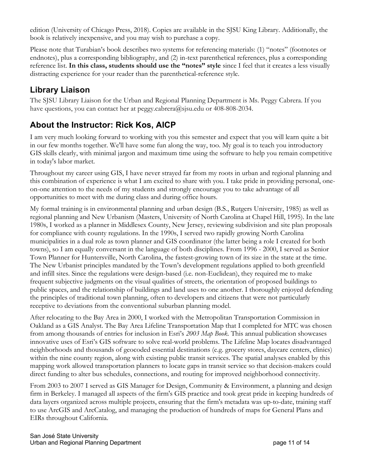edition (University of Chicago Press, 2018). Copies are available in the SJSU King Library. Additionally, the book is relatively inexpensive, and you may wish to purchase a copy.

Please note that Turabian's book describes two systems for referencing materials: (1) "notes" (footnotes or endnotes), plus a corresponding bibliography, and (2) in-text parenthetical references, plus a corresponding reference list. **In this class, students should use the "notes" style** since I feel that it creates a less visually distracting experience for your reader than the parenthetical-reference style.

## **Library Liaison**

The SJSU Library Liaison for the Urban and Regional Planning Department is Ms. Peggy Cabrera. If you have questions, you can contact her at peggy.cabrera@sjsu.edu or 408-808-2034.

## **About the Instructor: Rick Kos, AICP**

I am very much looking forward to working with you this semester and expect that you will learn quite a bit in our few months together. We'll have some fun along the way, too. My goal is to teach you introductory GIS skills clearly, with minimal jargon and maximum time using the software to help you remain competitive in today's labor market.

Throughout my career using GIS, I have never strayed far from my roots in urban and regional planning and this combination of experience is what I am excited to share with you. I take pride in providing personal, oneon-one attention to the needs of my students and strongly encourage you to take advantage of all opportunities to meet with me during class and during office hours.

My formal training is in environmental planning and urban design (B.S., Rutgers University, 1985) as well as regional planning and New Urbanism (Masters, University of North Carolina at Chapel Hill, 1995). In the late 1980s, I worked as a planner in Middlesex County, New Jersey, reviewing subdivision and site plan proposals for compliance with county regulations. In the 1990s, I served two rapidly growing North Carolina municipalities in a dual role as town planner and GIS coordinator (the latter being a role I created for both towns), so I am equally conversant in the language of both disciplines. From 1996 - 2000, I served as Senior Town Planner for Huntersville, North Carolina, the fastest-growing town of its size in the state at the time. The New Urbanist principles mandated by the Town's development regulations applied to both greenfield and infill sites. Since the regulations were design-based (i.e. non-Euclidean), they required me to make frequent subjective judgments on the visual qualities of streets, the orientation of proposed buildings to public spaces, and the relationship of buildings and land uses to one another. I thoroughly enjoyed defending the principles of traditional town planning, often to developers and citizens that were not particularly receptive to deviations from the conventional suburban planning model.

After relocating to the Bay Area in 2000, I worked with the Metropolitan Transportation Commission in Oakland as a GIS Analyst. The Bay Area Lifeline Transportation Map that I completed for MTC was chosen from among thousands of entries for inclusion in Esri's *2003 Map Book*. This annual publication showcases innovative uses of Esri's GIS software to solve real-world problems. The Lifeline Map locates disadvantaged neighborhoods and thousands of geocoded essential destinations (e.g. grocery stores, daycare centers, clinics) within the nine county region, along with existing public transit services. The spatial analyses enabled by this mapping work allowed transportation planners to locate gaps in transit service so that decision-makers could direct funding to alter bus schedules, connections, and routing for improved neighborhood connectivity.

From 2003 to 2007 I served as GIS Manager for Design, Community & Environment, a planning and design firm in Berkeley. I managed all aspects of the firm's GIS practice and took great pride in keeping hundreds of data layers organized across multiple projects, ensuring that the firm's metadata was up-to-date, training staff to use ArcGIS and ArcCatalog, and managing the production of hundreds of maps for General Plans and EIRs throughout California.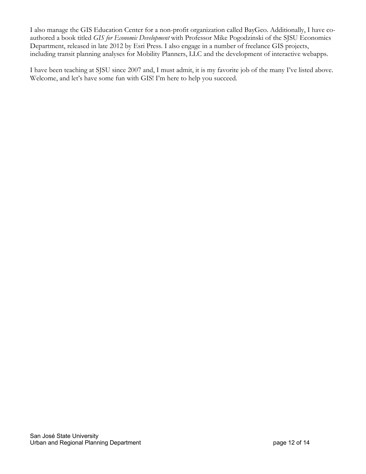I also manage the GIS Education Center for a non-profit organization called BayGeo. Additionally, I have coauthored a book titled *GIS for Economic Development* with Professor Mike Pogodzinski of the SJSU Economics Department, released in late 2012 by Esri Press. I also engage in a number of freelance GIS projects, including transit planning analyses for Mobility Planners, LLC and the development of interactive webapps.

I have been teaching at SJSU since 2007 and, I must admit, it is my favorite job of the many I've listed above. Welcome, and let's have some fun with GIS! I'm here to help you succeed.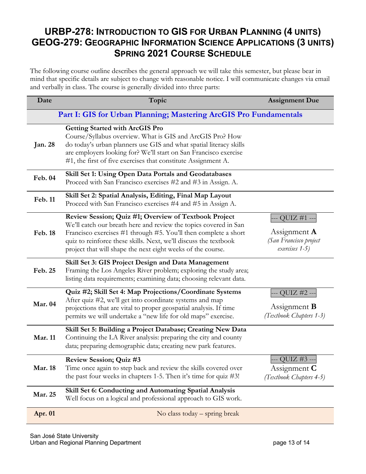# **URBP-278: INTRODUCTION TO GIS FOR URBAN PLANNING (4 UNITS) GEOG-279: GEOGRAPHIC INFORMATION SCIENCE APPLICATIONS (3 UNITS) SPRING 2021 COURSE SCHEDULE**

The following course outline describes the general approach we will take this semester, but please bear in mind that specific details are subject to change with reasonable notice. I will communicate changes via email and verbally in class. The course is generally divided into three parts:

| Date                                                              | Topic                                                                                                                                                                                                                                                                                                                           | <b>Assignment Due</b>                                                           |  |  |  |
|-------------------------------------------------------------------|---------------------------------------------------------------------------------------------------------------------------------------------------------------------------------------------------------------------------------------------------------------------------------------------------------------------------------|---------------------------------------------------------------------------------|--|--|--|
| Part I: GIS for Urban Planning; Mastering ArcGIS Pro Fundamentals |                                                                                                                                                                                                                                                                                                                                 |                                                                                 |  |  |  |
| <b>Jan. 28</b>                                                    | <b>Getting Started with ArcGIS Pro</b><br>Course/Syllabus overview. What is GIS and ArcGIS Pro? How<br>do today's urban planners use GIS and what spatial literacy skills<br>are employers looking for? We'll start on San Francisco exercise<br>#1, the first of five exercises that constitute Assignment A.                  |                                                                                 |  |  |  |
| <b>Feb. 04</b>                                                    | Skill Set 1: Using Open Data Portals and Geodatabases<br>Proceed with San Francisco exercises #2 and #3 in Assign. A.                                                                                                                                                                                                           |                                                                                 |  |  |  |
| Feb. 11                                                           | Skill Set 2: Spatial Analysis, Editing, Final Map Layout<br>Proceed with San Francisco exercises #4 and #5 in Assign A.                                                                                                                                                                                                         |                                                                                 |  |  |  |
| <b>Feb. 18</b>                                                    | Review Session; Quiz #1; Overview of Textbook Project<br>We'll catch our breath here and review the topics covered in San<br>Francisco exercises #1 through #5. You'll then complete a short<br>quiz to reinforce these skills. Next, we'll discuss the textbook<br>project that will shape the next eight weeks of the course. | - QUIZ #1 --<br>Assignment $\bf{A}$<br>(San Francisco project<br>exercises 1-5) |  |  |  |
| Feb. 25                                                           | Skill Set 3: GIS Project Design and Data Management<br>Framing the Los Angeles River problem; exploring the study area;<br>listing data requirements; examining data; choosing relevant data.                                                                                                                                   |                                                                                 |  |  |  |
| <b>Mar. 04</b>                                                    | Quiz #2; Skill Set 4: Map Projections/Coordinate Systems<br>After quiz #2, we'll get into coordinate systems and map<br>projections that are vital to proper geospatial analysis. If time<br>permits we will undertake a "new life for old maps" exercise.                                                                      | QUIZ #2 --<br>Assignment $\bf{B}$<br>(Textbook Chapters 1-3)                    |  |  |  |
| Mar. 11                                                           | Skill Set 5: Building a Project Database; Creating New Data<br>Continuing the LA River analysis: preparing the city and county<br>data; preparing demographic data; creating new park features.                                                                                                                                 |                                                                                 |  |  |  |
| <b>Mar. 18</b>                                                    | Review Session; Quiz #3<br>Time once again to step back and review the skills covered over<br>the past four weeks in chapters 1-5. Then it's time for quiz $\#3!$                                                                                                                                                               | --- QUIZ #3 ---<br>Assignment $C$<br>(Textbook Chapters 4-5)                    |  |  |  |
| Mar. 25                                                           | Skill Set 6: Conducting and Automating Spatial Analysis<br>Well focus on a logical and professional approach to GIS work.                                                                                                                                                                                                       |                                                                                 |  |  |  |
| Apr. 01                                                           | No class today - spring break                                                                                                                                                                                                                                                                                                   |                                                                                 |  |  |  |